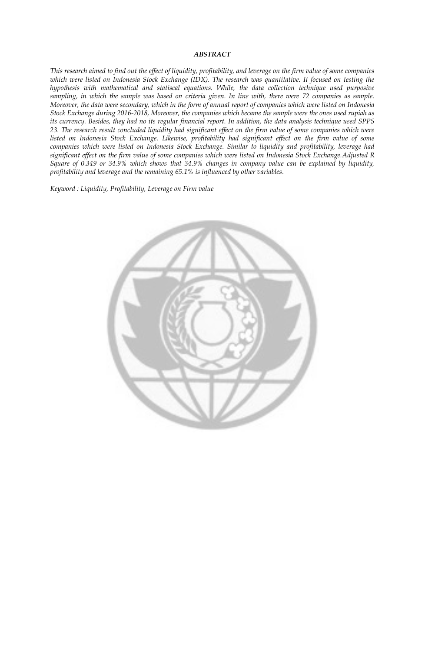## *ABSTRACT*

*This research aimed to find out the effect of liquidity, profitability, and leverage on the firm value of some companies which were listed on Indonesia Stock Exchange (IDX). The research was quantitative. It focused on testing the hypothesis with mathematical and statiscal equations. While, the data collection technique used purposive sampling, in which the sample was based on criteria given. In line with, there were 72 companies as sample. Moreover, the data were secondary, which in the form of annual report of companies which were listed on Indonesia Stock Exchange during 2016-2018, Moreover, the companies which became the sample were the ones used rupiah as its currency. Besides, they had no its regular financial report. In addition, the data analysis technique used SPPS 23. The research result concluded liquidity had significant effect on the firm value of some companies which were listed on Indonesia Stock Exchange. Likewise, profitability had significant effect on the firm value of some companies which were listed on Indonesia Stock Exchange. Similar to liquidity and profitability, leverage had significant effect on the firm value of some companies which were listed on Indonesia Stock Exchange.Adjusted R Square of 0.349 or 34.9% which shows that 34.9% changes in company value can be explained by liquidity, profitability and leverage and the remaining 65.1% is influenced by other variables.* 

*Keyword : Liquidity, Profitability, Leverage on Firm value*